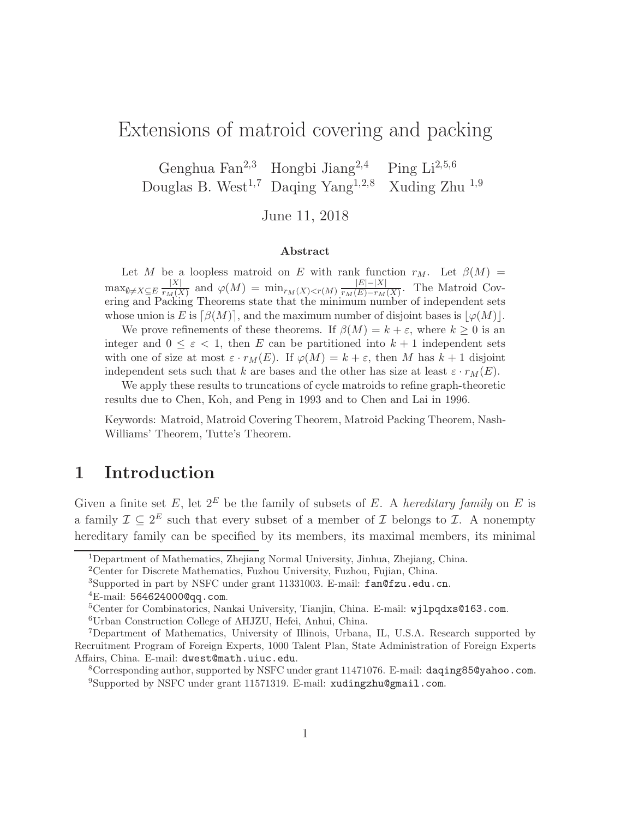# Extensions of matroid covering and packing

Genghua Fan<sup>2</sup>,<sup>3</sup> Hongbi Jiang<sup>2</sup>,<sup>4</sup> Ping Li<sup>2</sup>,5,<sup>6</sup> Douglas B. West<sup>1,7</sup> Daqing Yang<sup>1,2,8</sup> Xuding Zhu <sup>1,9</sup>

June 11, 2018

#### Abstract

Let M be a loopless matroid on E with rank function  $r_M$ . Let  $\beta(M)$  =  $\max_{\emptyset \neq X \subseteq E} \frac{|X|}{r_M(X)}$  $\frac{|X|}{r_M(X)}$  and  $\varphi(M) = \min_{r_M(X) < r(M)} \frac{|E| - |X|}{r_M(E) - r_M}$  $\frac{|E|-|X|}{r_M(E)-r_M(X)}$ . The Matroid Covering and Packing Theorems state that the minimum number of independent sets whose union is E is  $\lceil \beta(M) \rceil$ , and the maximum number of disjoint bases is  $|\varphi(M)|$ .

We prove refinements of these theorems. If  $\beta(M) = k + \varepsilon$ , where  $k \geq 0$  is an integer and  $0 \leq \varepsilon < 1$ , then E can be partitioned into  $k+1$  independent sets with one of size at most  $\varepsilon \cdot r_M(E)$ . If  $\varphi(M) = k + \varepsilon$ , then M has  $k + 1$  disjoint independent sets such that k are bases and the other has size at least  $\varepsilon \cdot r_M(E)$ .

We apply these results to truncations of cycle matroids to refine graph-theoretic results due to Chen, Koh, and Peng in 1993 and to Chen and Lai in 1996.

Keywords: Matroid, Matroid Covering Theorem, Matroid Packing Theorem, Nash-Williams' Theorem, Tutte's Theorem.

### 1 Introduction

Given a finite set E, let  $2^E$  be the family of subsets of E. A *hereditary family* on E is a family  $\mathcal{I} \subseteq 2^E$  such that every subset of a member of  $\mathcal I$  belongs to  $\mathcal I$ . A nonempty hereditary family can be specified by its members, its maximal members, its minimal

<sup>2</sup>Center for Discrete Mathematics, Fuzhou University, Fuzhou, Fujian, China.

<sup>1</sup>Department of Mathematics, Zhejiang Normal University, Jinhua, Zhejiang, China.

<sup>3</sup>Supported in part by NSFC under grant 11331003. E-mail: fan@fzu.edu.cn.  ${}^{4}$ E-mail: 5646240000qq.com.

<sup>5</sup>Center for Combinatorics, Nankai University, Tianjin, China. E-mail: wjlpqdxs@163.com.

<sup>6</sup>Urban Construction College of AHJZU, Hefei, Anhui, China.

<sup>7</sup>Department of Mathematics, University of Illinois, Urbana, IL, U.S.A. Research supported by Recruitment Program of Foreign Experts, 1000 Talent Plan, State Administration of Foreign Experts Affairs, China. E-mail: dwest@math.uiuc.edu.

<sup>8</sup>Corresponding author, supported by NSFC under grant 11471076. E-mail: daqing85@yahoo.com. <sup>9</sup>Supported by NSFC under grant 11571319. E-mail: xudingzhu@gmail.com.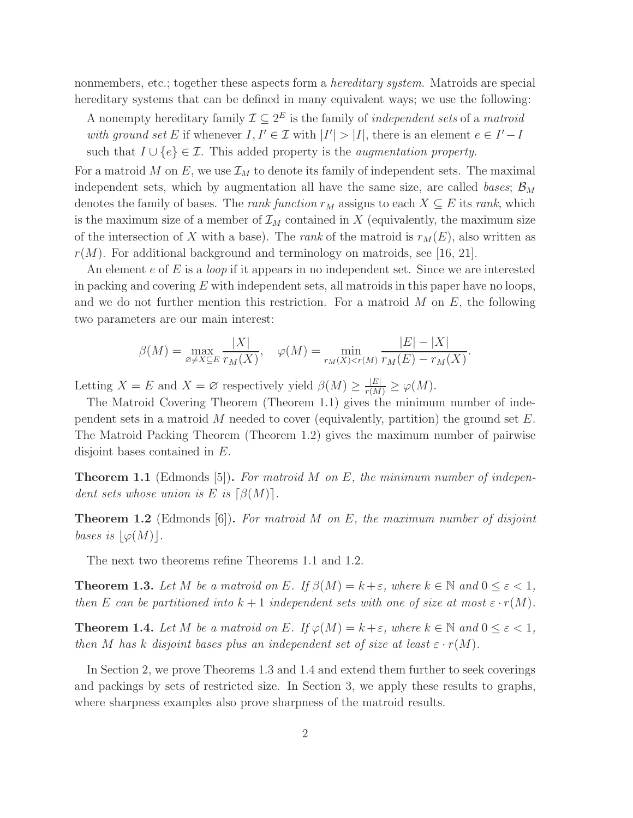nonmembers, etc.; together these aspects form a *hereditary system*. Matroids are special hereditary systems that can be defined in many equivalent ways; we use the following:

A nonempty hereditary family  $\mathcal{I} \subseteq 2^E$  is the family of *independent sets* of a *matroid* with ground set E if whenever  $I, I' \in \mathcal{I}$  with  $|I'| > |I|$ , there is an element  $e \in I' - I$ such that  $I \cup \{e\} \in \mathcal{I}$ . This added property is the *augmentation property*.

For a matroid M on E, we use  $\mathcal{I}_M$  to denote its family of independent sets. The maximal independent sets, which by augmentation all have the same size, are called bases;  $\mathcal{B}_M$ denotes the family of bases. The *rank function*  $r_M$  assigns to each  $X \subseteq E$  its *rank*, which is the maximum size of a member of  $\mathcal{I}_M$  contained in X (equivalently, the maximum size of the intersection of X with a base). The *rank* of the matroid is  $r_M(E)$ , also written as  $r(M)$ . For additional background and terminology on matroids, see [16, 21].

An element  $e$  of  $E$  is a *loop* if it appears in no independent set. Since we are interested in packing and covering  $E$  with independent sets, all matroids in this paper have no loops, and we do not further mention this restriction. For a matroid  $M$  on  $E$ , the following two parameters are our main interest:

$$
\beta(M) = \max_{\varnothing \neq X \subseteq E} \frac{|X|}{r_M(X)}, \quad \varphi(M) = \min_{r_M(X) < r(M)} \frac{|E| - |X|}{r_M(E) - r_M(X)}.
$$

Letting  $X = E$  and  $X = \varnothing$  respectively yield  $\beta(M) \ge \frac{|E|}{r(M)} \ge \varphi(M)$ .

The Matroid Covering Theorem (Theorem 1.1) gives the minimum number of independent sets in a matroid M needed to cover (equivalently, partition) the ground set  $E$ . The Matroid Packing Theorem (Theorem 1.2) gives the maximum number of pairwise disjoint bases contained in E.

**Theorem 1.1** (Edmonds [5]). For matroid M on E, the minimum number of independent sets whose union is E is  $\lceil \beta(M) \rceil$ .

**Theorem 1.2** (Edmonds [6]). For matroid M on E, the maximum number of disjoint bases is  $|\varphi(M)|$ .

The next two theorems refine Theorems 1.1 and 1.2.

**Theorem 1.3.** Let M be a matroid on E. If  $\beta(M) = k + \varepsilon$ , where  $k \in \mathbb{N}$  and  $0 \le \varepsilon < 1$ , then E can be partitioned into  $k+1$  independent sets with one of size at most  $\varepsilon \cdot r(M)$ .

**Theorem 1.4.** Let M be a matroid on E. If  $\varphi(M) = k + \varepsilon$ , where  $k \in \mathbb{N}$  and  $0 \leq \varepsilon < 1$ , then M has k disjoint bases plus an independent set of size at least  $\varepsilon \cdot r(M)$ .

In Section 2, we prove Theorems 1.3 and 1.4 and extend them further to seek coverings and packings by sets of restricted size. In Section 3, we apply these results to graphs, where sharpness examples also prove sharpness of the matroid results.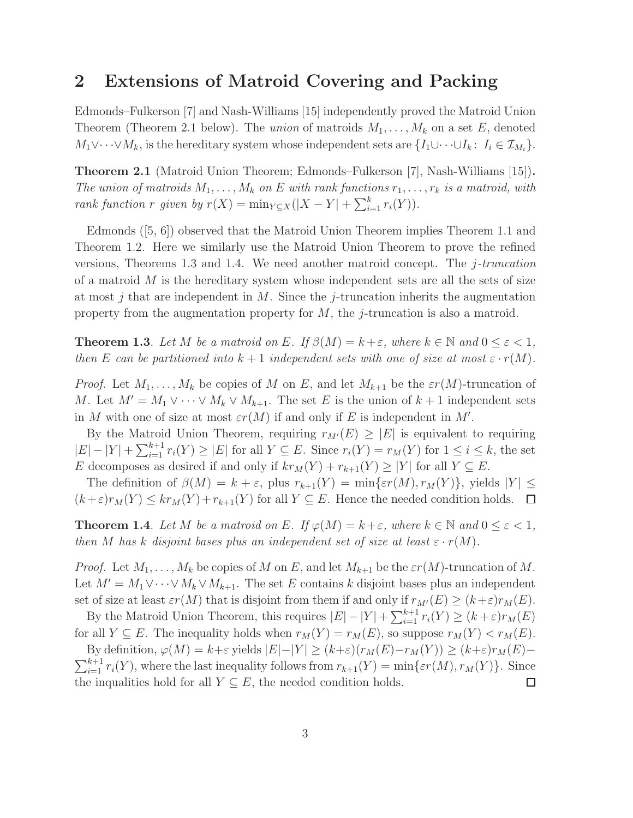#### 2 Extensions of Matroid Covering and Packing

Edmonds–Fulkerson [7] and Nash-Williams [15] independently proved the Matroid Union Theorem (Theorem 2.1 below). The union of matroids  $M_1, \ldots, M_k$  on a set E, denoted  $M_1 \vee \cdots \vee M_k$ , is the hereditary system whose independent sets are  $\{I_1 \cup \cdots \cup I_k : I_i \in \mathcal{I}_{M_i}\}.$ 

Theorem 2.1 (Matroid Union Theorem; Edmonds–Fulkerson [7], Nash-Williams [15]). The union of matroids  $M_1, \ldots, M_k$  on E with rank functions  $r_1, \ldots, r_k$  is a matroid, with rank function r given by  $r(X) = \min_{Y \subseteq X} (|X - Y| + \sum_{i=1}^{k} r_i(Y)).$ 

Edmonds ([5, 6]) observed that the Matroid Union Theorem implies Theorem 1.1 and Theorem 1.2. Here we similarly use the Matroid Union Theorem to prove the refined versions, Theorems 1.3 and 1.4. We need another matroid concept. The  $i$ -truncation of a matroid  $M$  is the hereditary system whose independent sets are all the sets of size at most j that are independent in  $M$ . Since the j-truncation inherits the augmentation property from the augmentation property for  $M$ , the j-truncation is also a matroid.

**Theorem 1.3**. Let M be a matroid on E. If  $\beta(M) = k + \varepsilon$ , where  $k \in \mathbb{N}$  and  $0 \le \varepsilon < 1$ , then E can be partitioned into  $k+1$  independent sets with one of size at most  $\varepsilon \cdot r(M)$ .

*Proof.* Let  $M_1, \ldots, M_k$  be copies of M on E, and let  $M_{k+1}$  be the  $\epsilon r(M)$ -truncation of M. Let  $M' = M_1 \vee \cdots \vee M_k \vee M_{k+1}$ . The set E is the union of  $k+1$  independent sets in M with one of size at most  $\varepsilon r(M)$  if and only if E is independent in M'.

By the Matroid Union Theorem, requiring  $r_{M'}(E) \geq |E|$  is equivalent to requiring  $|E| - |Y| + \sum_{i=1}^{k+1} r_i(Y) \ge |E|$  for all  $Y \subseteq E$ . Since  $r_i(Y) = r_M(Y)$  for  $1 \le i \le k$ , the set E decomposes as desired if and only if  $kr_M(Y) + r_{k+1}(Y) \geq |Y|$  for all  $Y \subseteq E$ .

The definition of  $\beta(M) = k + \varepsilon$ , plus  $r_{k+1}(Y) = \min\{\varepsilon r(M), r_M(Y)\}\$ , yields  $|Y| \leq$  $(k+\varepsilon)r_M(Y) \leq kr_M(Y)+r_{k+1}(Y)$  for all  $Y \subseteq E$ . Hence the needed condition holds.  $\Box$ 

**Theorem 1.4**. Let M be a matroid on E. If  $\varphi(M) = k + \varepsilon$ , where  $k \in \mathbb{N}$  and  $0 \le \varepsilon < 1$ , then M has k disjoint bases plus an independent set of size at least  $\varepsilon \cdot r(M)$ .

*Proof.* Let  $M_1, \ldots, M_k$  be copies of M on E, and let  $M_{k+1}$  be the  $\epsilon r(M)$ -truncation of M. Let  $M' = M_1 \vee \cdots \vee M_k \vee M_{k+1}$ . The set E contains k disjoint bases plus an independent set of size at least  $\varepsilon r(M)$  that is disjoint from them if and only if  $r_{M'}(E) \ge (k+\varepsilon)r_M(E)$ .

By the Matroid Union Theorem, this requires  $|E| - |Y| + \sum_{i=1}^{k+1} r_i(Y) \ge (k+\varepsilon)r_M(E)$ for all  $Y \subseteq E$ . The inequality holds when  $r_M(Y) = r_M(E)$ , so suppose  $r_M(Y) < r_M(E)$ .

By definition,  $\varphi(M) = k + \varepsilon$  yields  $|E|-|Y| \ge (k+\varepsilon)(r_M(E)-r_M(Y)) \ge (k+\varepsilon)r_M(E) \sum_{i=1}^{k+1} r_i(Y)$ , where the last inequality follows from  $r_{k+1}(Y) = \min\{\varepsilon r(M), r_M(Y)\}\$ . Since the inqualities hold for all  $Y \subseteq E$ , the needed condition holds.  $\Box$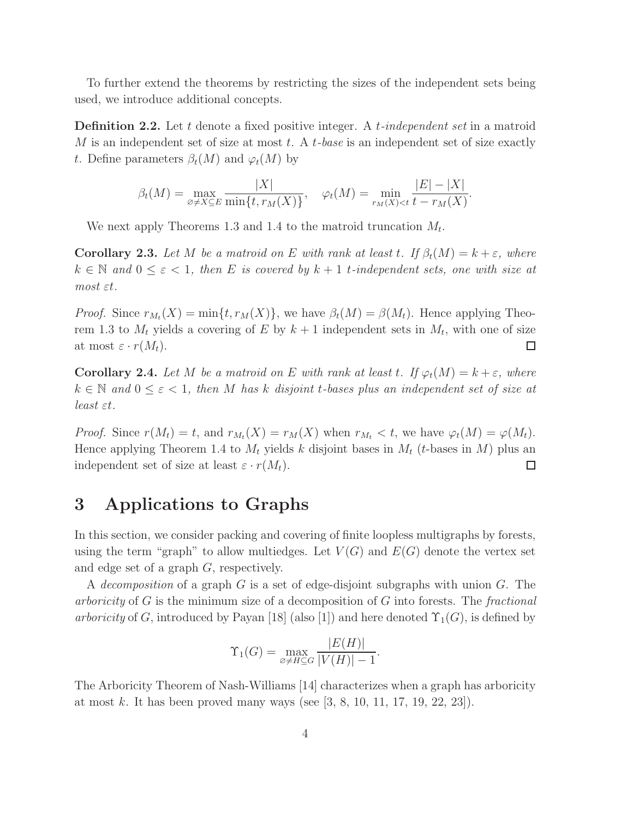To further extend the theorems by restricting the sizes of the independent sets being used, we introduce additional concepts.

**Definition 2.2.** Let t denote a fixed positive integer. A t-independent set in a matroid M is an independent set of size at most  $t$ . A  $t$ -base is an independent set of size exactly t. Define parameters  $\beta_t(M)$  and  $\varphi_t(M)$  by

$$
\beta_t(M) = \max_{\varnothing \neq X \subseteq E} \frac{|X|}{\min\{t, r_M(X)\}}, \quad \varphi_t(M) = \min_{r_M(X) < t} \frac{|E| - |X|}{t - r_M(X)}.
$$

We next apply Theorems 1.3 and 1.4 to the matroid truncation  $M_t$ .

**Corollary 2.3.** Let M be a matroid on E with rank at least t. If  $\beta_t(M) = k + \varepsilon$ , where  $k \in \mathbb{N}$  and  $0 \leq \varepsilon < 1$ , then E is covered by  $k + 1$  t-independent sets, one with size at most εt.

*Proof.* Since  $r_{M_t}(X) = \min\{t, r_M(X)\}\$ , we have  $\beta_t(M) = \beta(M_t)$ . Hence applying Theorem 1.3 to  $M_t$  yields a covering of E by  $k+1$  independent sets in  $M_t$ , with one of size at most  $\varepsilon \cdot r(M_t)$ .  $\Box$ 

**Corollary 2.4.** Let M be a matroid on E with rank at least t. If  $\varphi_t(M) = k + \varepsilon$ , where  $k \in \mathbb{N}$  and  $0 \leq \varepsilon \leq 1$ , then M has k disjoint t-bases plus an independent set of size at least εt.

*Proof.* Since  $r(M_t) = t$ , and  $r_{M_t}(X) = r_M(X)$  when  $r_{M_t} < t$ , we have  $\varphi_t(M) = \varphi(M_t)$ . Hence applying Theorem 1.4 to  $M_t$  yields k disjoint bases in  $M_t$  (t-bases in M) plus an independent set of size at least  $\varepsilon \cdot r(M_t)$ .  $\Box$ 

### 3 Applications to Graphs

In this section, we consider packing and covering of finite loopless multigraphs by forests, using the term "graph" to allow multiedges. Let  $V(G)$  and  $E(G)$  denote the vertex set and edge set of a graph G, respectively.

A decomposition of a graph G is a set of edge-disjoint subgraphs with union  $G$ . The arboricity of  $G$  is the minimum size of a decomposition of  $G$  into forests. The fractional arboricity of G, introduced by Payan [18] (also [1]) and here denoted  $\Upsilon_1(G)$ , is defined by

$$
\Upsilon_1(G) = \max_{\varnothing \neq H \subseteq G} \frac{|E(H)|}{|V(H)| - 1}.
$$

The Arboricity Theorem of Nash-Williams [14] characterizes when a graph has arboricity at most k. It has been proved many ways (see  $[3, 8, 10, 11, 17, 19, 22, 23]$ ).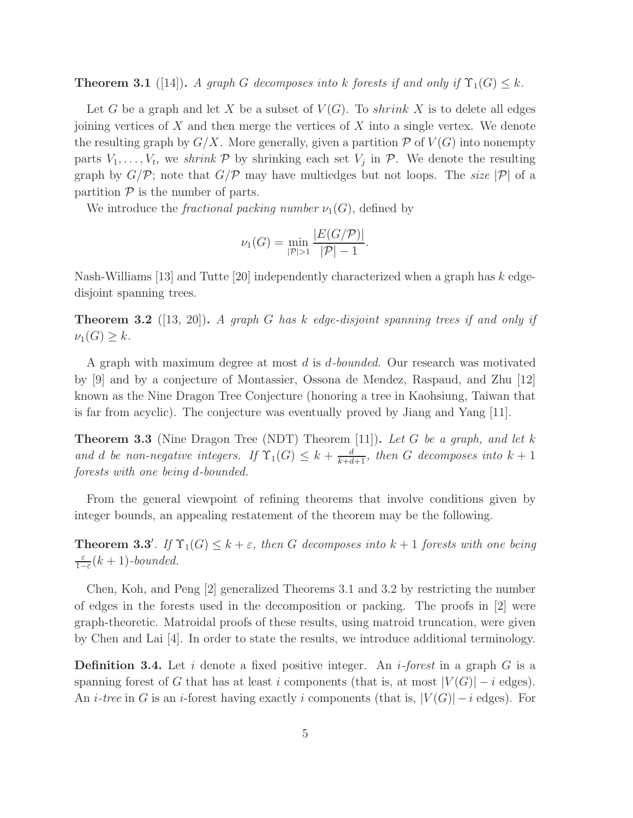**Theorem 3.1** ([14]). A graph G decomposes into k forests if and only if  $\Upsilon_1(G) \leq k$ .

Let G be a graph and let X be a subset of  $V(G)$ . To shrink X is to delete all edges joining vertices of  $X$  and then merge the vertices of  $X$  into a single vertex. We denote the resulting graph by  $G/X$ . More generally, given a partition P of  $V(G)$  into nonempty parts  $V_1, \ldots, V_t$ , we shrink  $P$  by shrinking each set  $V_j$  in  $P$ . We denote the resulting graph by  $G/P$ ; note that  $G/P$  may have multiedges but not loops. The size  $|P|$  of a partition  $P$  is the number of parts.

We introduce the *fractional packing number*  $\nu_1(G)$ , defined by

$$
\nu_1(G) = \min_{|\mathcal{P}| > 1} \frac{|E(G/\mathcal{P})|}{|\mathcal{P}| - 1}.
$$

Nash-Williams [13] and Tutte [20] independently characterized when a graph has k edgedisjoint spanning trees.

**Theorem 3.2** ([13, 20]). A graph G has k edge-disjoint spanning trees if and only if  $\nu_1(G) \geq k$ .

A graph with maximum degree at most d is d-bounded. Our research was motivated by [9] and by a conjecture of Montassier, Ossona de Mendez, Raspaud, and Zhu [12] known as the Nine Dragon Tree Conjecture (honoring a tree in Kaohsiung, Taiwan that is far from acyclic). The conjecture was eventually proved by Jiang and Yang [11].

**Theorem 3.3** (Nine Dragon Tree (NDT) Theorem [11]). Let G be a graph, and let k and d be non-negative integers. If  $\Upsilon_1(G) \leq k + \frac{d}{k+d+1}$ , then G decomposes into  $k+1$ forests with one being d-bounded.

From the general viewpoint of refining theorems that involve conditions given by integer bounds, an appealing restatement of the theorem may be the following.

**Theorem 3.3'**. If  $\Upsilon_1(G) \leq k + \varepsilon$ , then G decomposes into  $k + 1$  forests with one being ε  $\frac{\varepsilon}{1-\varepsilon}(k+1)$ -bounded.

Chen, Koh, and Peng [2] generalized Theorems 3.1 and 3.2 by restricting the number of edges in the forests used in the decomposition or packing. The proofs in [2] were graph-theoretic. Matroidal proofs of these results, using matroid truncation, were given by Chen and Lai [4]. In order to state the results, we introduce additional terminology.

**Definition 3.4.** Let i denote a fixed positive integer. An i-forest in a graph G is a spanning forest of G that has at least i components (that is, at most  $|V(G)| - i$  edges). An *i-tree* in G is an *i*-forest having exactly *i* components (that is,  $|V(G)| - i$  edges). For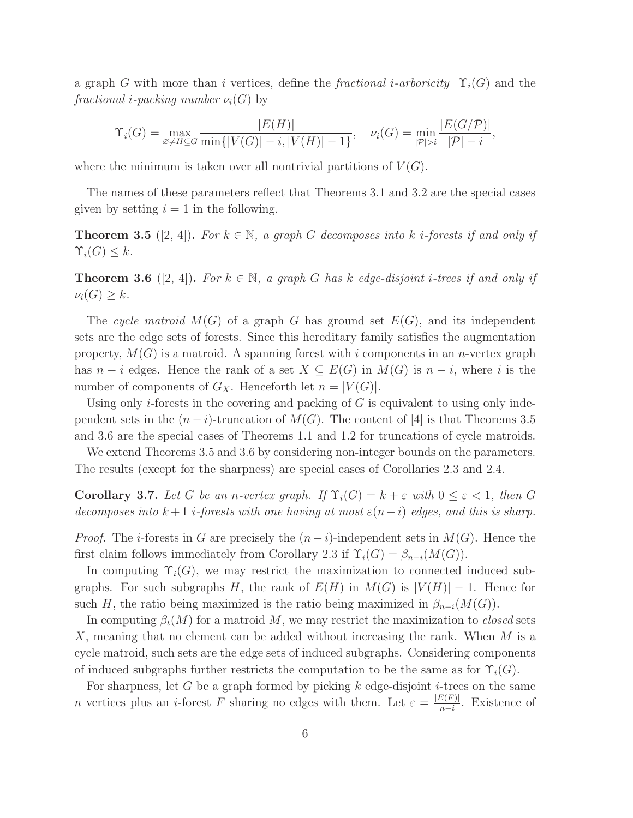a graph G with more than i vertices, define the fractional i-arboricity  $\Upsilon_i(G)$  and the fractional *i*-packing number  $\nu_i(G)$  by

$$
\Upsilon_i(G) = \max_{\varnothing \neq H \subseteq G} \frac{|E(H)|}{\min\{|V(G)| - i, |V(H)| - 1\}}, \quad \nu_i(G) = \min_{|\mathcal{P}| > i} \frac{|E(G/\mathcal{P})|}{|\mathcal{P}| - i},
$$

where the minimum is taken over all nontrivial partitions of  $V(G)$ .

The names of these parameters reflect that Theorems 3.1 and 3.2 are the special cases given by setting  $i = 1$  in the following.

**Theorem 3.5** ([2, 4]). For  $k \in \mathbb{N}$ , a graph G decomposes into k *i*-forests if and only if  $\Upsilon_i(G) \leq k$ .

**Theorem 3.6** ([2, 4]). For  $k \in \mathbb{N}$ , a graph G has k edge-disjoint *i*-trees if and only if  $\nu_i(G) \geq k$ .

The cycle matroid  $M(G)$  of a graph G has ground set  $E(G)$ , and its independent sets are the edge sets of forests. Since this hereditary family satisfies the augmentation property,  $M(G)$  is a matroid. A spanning forest with i components in an n-vertex graph has  $n-i$  edges. Hence the rank of a set  $X \subseteq E(G)$  in  $M(G)$  is  $n-i$ , where i is the number of components of  $G_X$ . Henceforth let  $n = |V(G)|$ .

Using only *i*-forests in the covering and packing of  $G$  is equivalent to using only independent sets in the  $(n-i)$ -truncation of  $M(G)$ . The content of [4] is that Theorems 3.5 and 3.6 are the special cases of Theorems 1.1 and 1.2 for truncations of cycle matroids.

We extend Theorems 3.5 and 3.6 by considering non-integer bounds on the parameters. The results (except for the sharpness) are special cases of Corollaries 2.3 and 2.4.

Corollary 3.7. Let G be an n-vertex graph. If  $\Upsilon_i(G) = k + \varepsilon$  with  $0 \leq \varepsilon < 1$ , then G decomposes into  $k+1$  *i*-forests with one having at most  $\varepsilon(n-i)$  edges, and this is sharp.

*Proof.* The *i*-forests in G are precisely the  $(n - i)$ -independent sets in  $M(G)$ . Hence the first claim follows immediately from Corollary 2.3 if  $\Upsilon_i(G) = \beta_{n-i}(M(G)).$ 

In computing  $\Upsilon_i(G)$ , we may restrict the maximization to connected induced subgraphs. For such subgraphs H, the rank of  $E(H)$  in  $M(G)$  is  $|V(H)| - 1$ . Hence for such H, the ratio being maximized is the ratio being maximized in  $\beta_{n-i}(M(G))$ .

In computing  $\beta_t(M)$  for a matroid M, we may restrict the maximization to *closed* sets X, meaning that no element can be added without increasing the rank. When M is a cycle matroid, such sets are the edge sets of induced subgraphs. Considering components of induced subgraphs further restricts the computation to be the same as for  $\Upsilon_i(G)$ .

For sharpness, let G be a graph formed by picking  $k$  edge-disjoint *i*-trees on the same *n* vertices plus an *i*-forest F sharing no edges with them. Let  $\varepsilon = \frac{|E(F)|}{n-i}$  $\frac{E(F)|}{n-i}$ . Existence of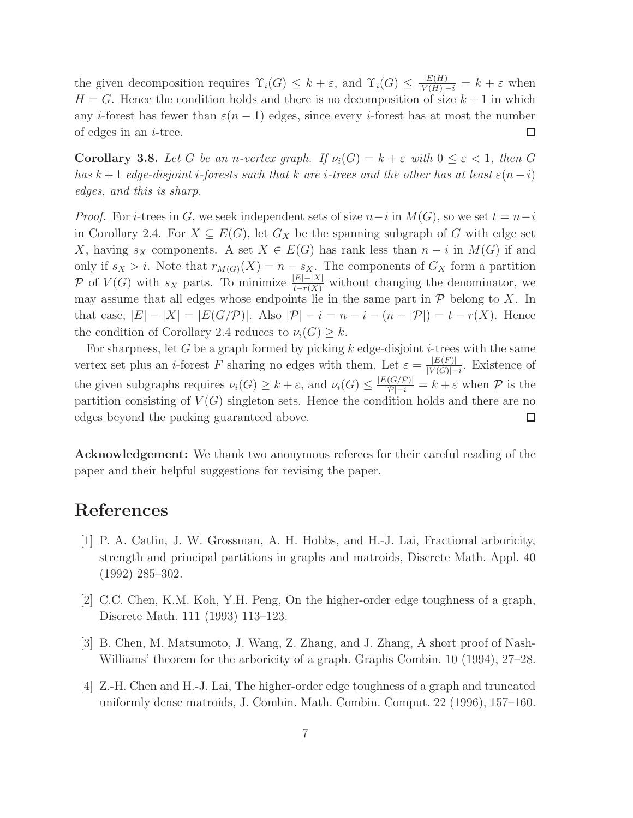the given decomposition requires  $\Upsilon_i(G) \leq k + \varepsilon$ , and  $\Upsilon_i(G) \leq \frac{|E(H)|}{|V(H)|-i} = k + \varepsilon$  when  $H = G$ . Hence the condition holds and there is no decomposition of size  $k + 1$  in which any *i*-forest has fewer than  $\varepsilon(n-1)$  edges, since every *i*-forest has at most the number  $\Box$ of edges in an  $i$ -tree.

**Corollary 3.8.** Let G be an n-vertex graph. If  $\nu_i(G) = k + \varepsilon$  with  $0 \leq \varepsilon < 1$ , then G has k + 1 edge-disjoint i-forests such that k are i-trees and the other has at least  $\varepsilon(n-i)$ edges, and this is sharp.

*Proof.* For *i*-trees in G, we seek independent sets of size  $n-i$  in  $M(G)$ , so we set  $t = n-i$ in Corollary 2.4. For  $X \subseteq E(G)$ , let  $G_X$  be the spanning subgraph of G with edge set X, having  $s_X$  components. A set  $X \in E(G)$  has rank less than  $n-i$  in  $M(G)$  if and only if  $s_X > i$ . Note that  $r_{M(G)}(X) = n - s_X$ . The components of  $G_X$  form a partition P of  $V(G)$  with  $s_X$  parts. To minimize  $\frac{|E|-|X|}{t-r(X)}$  without changing the denominator, we may assume that all edges whose endpoints lie in the same part in  $P$  belong to X. In that case,  $|E| - |X| = |E(G/\mathcal{P})|$ . Also  $|\mathcal{P}| - i = n - i - (n - |\mathcal{P}|) = t - r(X)$ . Hence the condition of Corollary 2.4 reduces to  $\nu_i(G) \geq k$ .

For sharpness, let G be a graph formed by picking k edge-disjoint i-trees with the same vertex set plus an *i*-forest F sharing no edges with them. Let  $\varepsilon = \frac{|E(F)|}{|V(G)|}$  $\frac{|E(F)|}{|V(G)|-i}$ . Existence of the given subgraphs requires  $\nu_i(G) \geq k + \varepsilon$ , and  $\nu_i(G) \leq \frac{|E(G/P)|}{|P|-i} = k + \varepsilon$  when  $P$  is the partition consisting of  $V(G)$  singleton sets. Hence the condition holds and there are no edges beyond the packing guaranteed above.  $\Box$ 

Acknowledgement: We thank two anonymous referees for their careful reading of the paper and their helpful suggestions for revising the paper.

## References

- [1] P. A. Catlin, J. W. Grossman, A. H. Hobbs, and H.-J. Lai, Fractional arboricity, strength and principal partitions in graphs and matroids, Discrete Math. Appl. 40 (1992) 285–302.
- [2] C.C. Chen, K.M. Koh, Y.H. Peng, On the higher-order edge toughness of a graph, Discrete Math. 111 (1993) 113–123.
- [3] B. Chen, M. Matsumoto, J. Wang, Z. Zhang, and J. Zhang, A short proof of Nash-Williams' theorem for the arboricity of a graph. Graphs Combin. 10 (1994), 27–28.
- [4] Z.-H. Chen and H.-J. Lai, The higher-order edge toughness of a graph and truncated uniformly dense matroids, J. Combin. Math. Combin. Comput. 22 (1996), 157–160.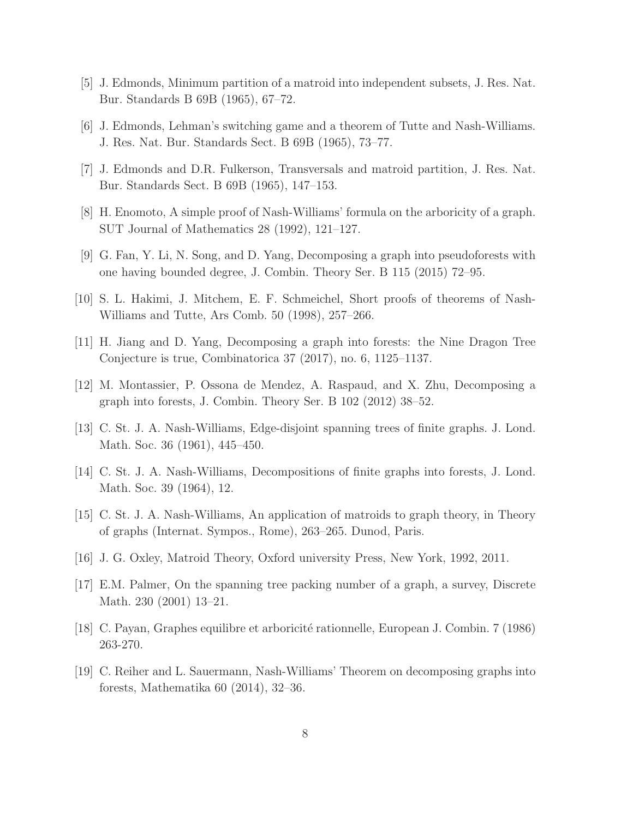- [5] J. Edmonds, Minimum partition of a matroid into independent subsets, J. Res. Nat. Bur. Standards B 69B (1965), 67–72.
- [6] J. Edmonds, Lehman's switching game and a theorem of Tutte and Nash-Williams. J. Res. Nat. Bur. Standards Sect. B 69B (1965), 73–77.
- [7] J. Edmonds and D.R. Fulkerson, Transversals and matroid partition, J. Res. Nat. Bur. Standards Sect. B 69B (1965), 147–153.
- [8] H. Enomoto, A simple proof of Nash-Williams' formula on the arboricity of a graph. SUT Journal of Mathematics 28 (1992), 121–127.
- [9] G. Fan, Y. Li, N. Song, and D. Yang, Decomposing a graph into pseudoforests with one having bounded degree, J. Combin. Theory Ser. B 115 (2015) 72–95.
- [10] S. L. Hakimi, J. Mitchem, E. F. Schmeichel, Short proofs of theorems of Nash-Williams and Tutte, Ars Comb. 50 (1998), 257–266.
- [11] H. Jiang and D. Yang, Decomposing a graph into forests: the Nine Dragon Tree Conjecture is true, Combinatorica 37 (2017), no. 6, 1125–1137.
- [12] M. Montassier, P. Ossona de Mendez, A. Raspaud, and X. Zhu, Decomposing a graph into forests, J. Combin. Theory Ser. B 102 (2012) 38–52.
- [13] C. St. J. A. Nash-Williams, Edge-disjoint spanning trees of finite graphs. J. Lond. Math. Soc. 36 (1961), 445–450.
- [14] C. St. J. A. Nash-Williams, Decompositions of finite graphs into forests, J. Lond. Math. Soc. 39 (1964), 12.
- [15] C. St. J. A. Nash-Williams, An application of matroids to graph theory, in Theory of graphs (Internat. Sympos., Rome), 263–265. Dunod, Paris.
- [16] J. G. Oxley, Matroid Theory, Oxford university Press, New York, 1992, 2011.
- [17] E.M. Palmer, On the spanning tree packing number of a graph, a survey, Discrete Math. 230 (2001) 13–21.
- [18] C. Payan, Graphes equilibre et arboricit´e rationnelle, European J. Combin. 7 (1986) 263-270.
- [19] C. Reiher and L. Sauermann, Nash-Williams' Theorem on decomposing graphs into forests, Mathematika 60 (2014), 32–36.